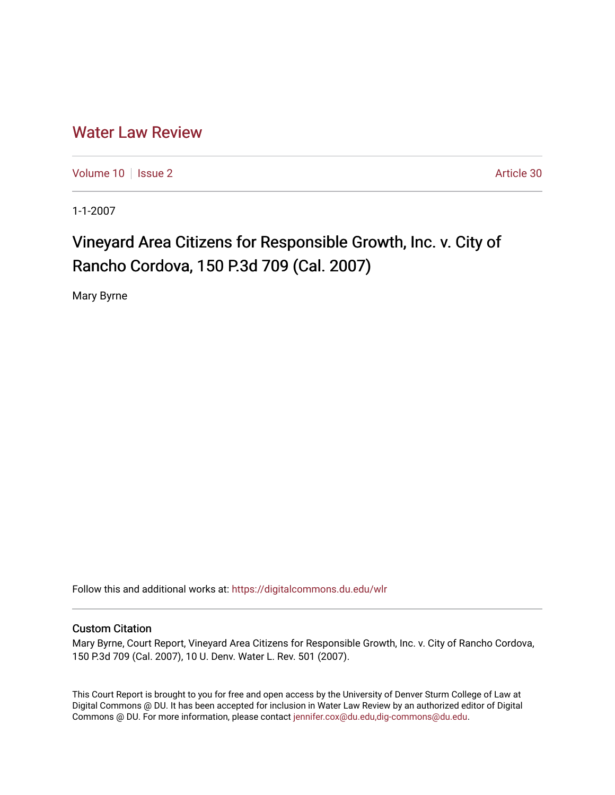## [Water Law Review](https://digitalcommons.du.edu/wlr)

[Volume 10](https://digitalcommons.du.edu/wlr/vol10) | [Issue 2](https://digitalcommons.du.edu/wlr/vol10/iss2) Article 30

1-1-2007

# Vineyard Area Citizens for Responsible Growth, Inc. v. City of Rancho Cordova, 150 P.3d 709 (Cal. 2007)

Mary Byrne

Follow this and additional works at: [https://digitalcommons.du.edu/wlr](https://digitalcommons.du.edu/wlr?utm_source=digitalcommons.du.edu%2Fwlr%2Fvol10%2Fiss2%2F30&utm_medium=PDF&utm_campaign=PDFCoverPages) 

### Custom Citation

Mary Byrne, Court Report, Vineyard Area Citizens for Responsible Growth, Inc. v. City of Rancho Cordova, 150 P.3d 709 (Cal. 2007), 10 U. Denv. Water L. Rev. 501 (2007).

This Court Report is brought to you for free and open access by the University of Denver Sturm College of Law at Digital Commons @ DU. It has been accepted for inclusion in Water Law Review by an authorized editor of Digital Commons @ DU. For more information, please contact [jennifer.cox@du.edu,dig-commons@du.edu.](mailto:jennifer.cox@du.edu,dig-commons@du.edu)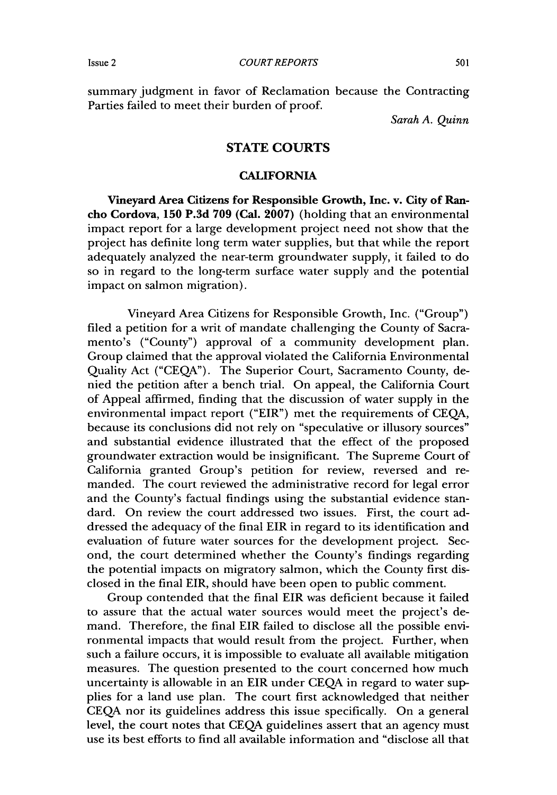summary judgment in favor of Reclamation because the Contracting Parties failed to meet their burden of proof.

*Sarah A. Quinn*

#### **STATE COURTS**

#### **CALIFORNIA**

Vineyard Area Citizens for Responsible Growth, Inc. v. City of Rancho Cordova, **150 P.3d 709** (Cal. **2007)** (holding that an environmental impact report for a large development project need not show that the project has definite long term water supplies, but that while the report adequately analyzed the near-term groundwater supply, it failed to do so in regard to the long-term surface water supply and the potential impact on salmon migration).

Vineyard Area Citizens for Responsible Growth, Inc. ("Group") filed a petition for a writ of mandate challenging the County of Sacramento's ("County") approval of a community development plan. Group claimed that the approval violated the California Environmental Quality Act ("CEQA"). The Superior Court, Sacramento County, denied the petition after a bench trial. On appeal, the California Court of Appeal affirmed, finding that the discussion of water supply in the environmental impact report ("EIR") met the requirements of CEQA, because its conclusions did not rely on "speculative or illusory sources" and substantial evidence illustrated that the effect of the proposed groundwater extraction would be insignificant. The Supreme Court of California granted Group's petition for review, reversed and remanded. The court reviewed the administrative record for legal error and the County's factual findings using the substantial evidence standard. On review the court addressed two issues. First, the court addressed the adequacy of the final EIR in regard to its identification and evaluation of future water sources for the development project. Second, the court determined whether the County's findings regarding the potential impacts on migratory salmon, which the County first disclosed in the final EIR, should have been open to public comment.

Group contended that the final EIR was deficient because it failed to assure that the actual water sources would meet the project's demand. Therefore, the final EIR failed to disclose all the possible environmental impacts that would result from the project. Further, when such a failure occurs, it is impossible to evaluate all available mitigation measures. The question presented to the court concerned how much uncertainty is allowable in an EIR under CEQA in regard to water supplies for a land use plan. The court first acknowledged that neither CEQA nor its guidelines address this issue specifically. On a general level, the court notes that CEQA guidelines assert that an agency must use its best efforts to find all available information and "disclose all that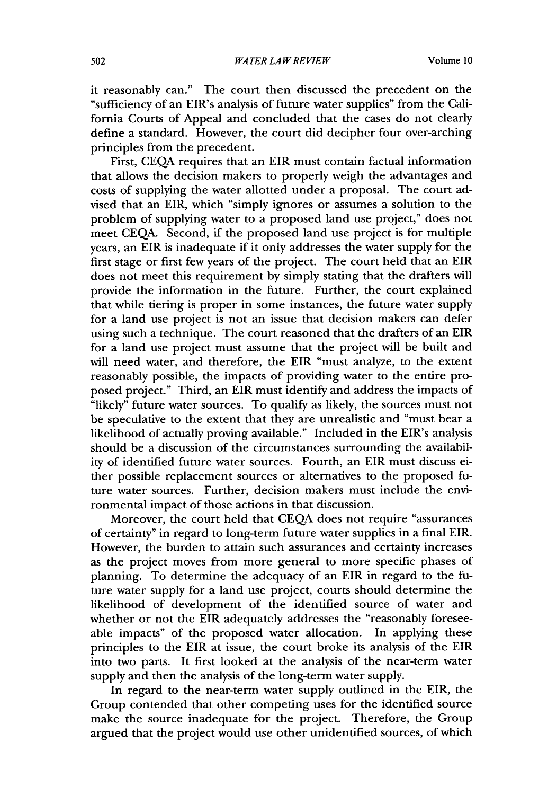it reasonably can." The court then discussed the precedent on the "sufficiency of an EIR's analysis of future water supplies" from the California Courts of Appeal and concluded that the cases do not clearly define a standard. However, the court did decipher four over-arching principles from the precedent.

First, CEQA requires that an EIR must contain factual information that allows the decision makers to properly weigh the advantages and costs of supplying the water allotted under a proposal. The court advised that an EIR, which "simply ignores or assumes a solution to the problem of supplying water to a proposed land use project," does not meet CEQA. Second, if the proposed land use project is for multiple years, an EIR is inadequate if it only addresses the water supply for the first stage or first few years of the project. The court held that an EIR does not meet this requirement by simply stating that the drafters will provide the information in the future. Further, the court explained that while tiering is proper in some instances, the future water supply for a land use project is not an issue that decision makers can defer using such a technique. The court reasoned that the drafters of an EIR for a land use project must assume that the project will be built and will need water, and therefore, the EIR "must analyze, to the extent reasonably possible, the impacts of providing water to the entire proposed project." Third, an EIR must identify and address the impacts of "likely" future water sources. To qualify as likely, the sources must not be speculative to the extent that they are unrealistic and "must bear a likelihood of actually proving available." Included in the EIR's analysis should be a discussion of the circumstances surrounding the availability of identified future water sources. Fourth, an EIR must discuss either possible replacement sources or alternatives to the proposed future water sources. Further, decision makers must include the environmental impact of those actions in that discussion.

Moreover, the court held that CEQA does not require "assurances of certainty" in regard to long-term future water supplies in a final EIR. However, the burden to attain such assurances and certainty increases as the project moves from more general to more specific phases of planning. To determine the adequacy of an EIR in regard to the future water supply for a land use project, courts should determine the likelihood of development of the identified source of water and whether or not the EIR adequately addresses the "reasonably foreseeable impacts" of the proposed water allocation. In applying these principles to the EIR at issue, the court broke its analysis of the EIR into two parts. It first looked at the analysis of the near-term water supply and then the analysis of the long-term water supply.

In regard to the near-term water supply outlined in the EIR, the Group contended that other competing uses for the identified source make the source inadequate for the project. Therefore, the Group argued that the project would use other unidentified sources, of which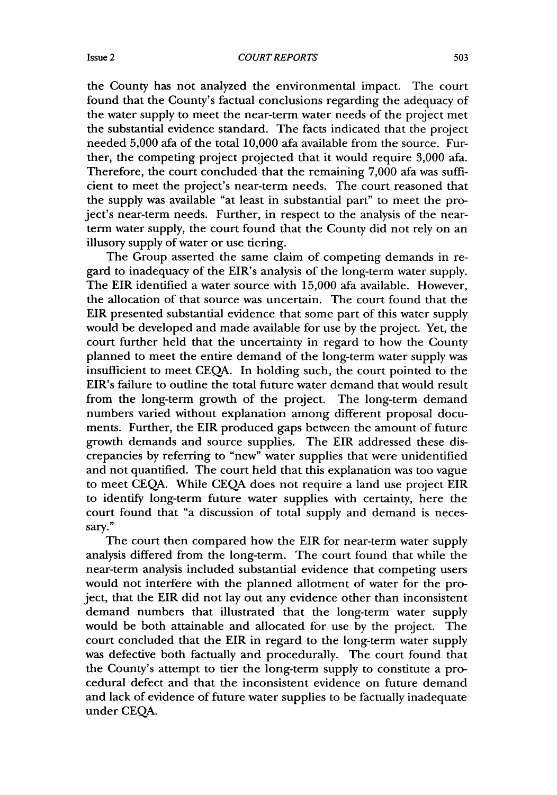*COURT REPORTS*

the County has not analyzed the environmental impact. The court found that the County's factual conclusions regarding the adequacy of the water supply to meet the near-term water needs of the project met the substantial evidence standard. The facts indicated that the project needed 5,000 afa of the total 10,000 afa available from the source. Further, the competing project projected that it would require 3,000 afa. Therefore, the court concluded that the remaining 7,000 afa was sufficient to meet the project's near-term needs. The court reasoned that the supply was available "at least in substantial part" to meet the project's near-term needs. Further, in respect to the analysis of the nearterm water supply, the court found that the County did not rely on an illusory supply of water or use tiering.

The Group asserted the same claim of competing demands in regard to inadequacy of the EIR's analysis of the long-term water supply. The EIR identified a water source with 15,000 afa available. However, the allocation of that source was uncertain. The court found that the EIR presented substantial evidence that some part of this water supply would be developed and made available for use by the project. Yet, the court further held that the uncertainty in regard to how the County planned to meet the entire demand of the long-term water supply was insufficient to meet CEQA. In holding such, the court pointed to the EIR's failure to outline the total future water demand that would result from the long-term growth of the project. The long-term demand numbers varied without explanation among different proposal documents. Further, the EIR produced gaps between the amount of future growth demands and source supplies. The EIR addressed these discrepancies by referring to "new" water supplies that were unidentified and not quantified. The court held that this explanation was too vague to meet CEQA. While CEQA does not require a land use project EIR to identify long-term future water supplies with certainty, here the court found that "a discussion of total supply and demand is necessary."

The court then compared how the EIR for near-term water supply analysis differed from the long-term. The court found that while the near-term analysis included substantial evidence that competing users would not interfere with the planned allotment of water for the project, that the EIR did not lay out any evidence other than inconsistent demand numbers that illustrated that the long-term water supply would be both attainable and allocated for use **by** the project. The court concluded that the EIR in regard to the long-term water supply was defective both factually and procedurally. The court found that the County's attempt to tier the long-term supply to constitute a procedural defect and that the inconsistent evidence on future demand and lack of evidence of future water supplies to be factually inadequate under CEQA.